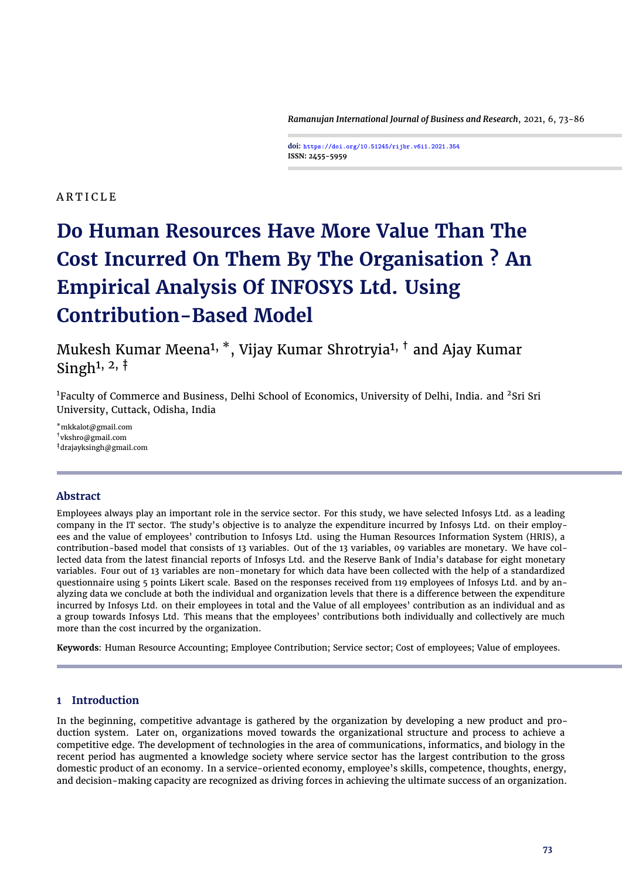*Ramanujan International Journal of Business and Research*, 2021, 6, 73[-86](#page-13-0)

**doi: https://doi.org/10.51245/rijbr.v6i1.2021.354 ISSN: 2455-5959**

# **ARTICLE**

# **Do Human Resources Have More Value Than The Cost Incurred On Them By The Organisation ? An Empirical Analysis Of INFOSYS Ltd. Using Contribution-Based Model**

Mukesh Kumar Meena1, \*, Vijay Kumar Shrotryia1, † and Ajay Kumar Singh<sup>1, 2,  $\dagger$ </sup>

<sup>1</sup>Faculty of Commerce and Business, Delhi School of Economics, University of Delhi, India. and <sup>2</sup>Sri Sri University, Cuttack, Odisha, India

\*mkkalot@gmail.com †vkshro@gmail.com ‡drajayksingh@gmail.com

# **Abstract**

Employees always play an important role in the service sector. For this study, we have selected Infosys Ltd. as a leading company in the IT sector. The study's objective is to analyze the expenditure incurred by Infosys Ltd. on their employees and the value of employees' contribution to Infosys Ltd. using the Human Resources Information System (HRIS), a contribution-based model that consists of 13 variables. Out of the 13 variables, 09 variables are monetary. We have collected data from the latest financial reports of Infosys Ltd. and the Reserve Bank of India's database for eight monetary variables. Four out of 13 variables are non-monetary for which data have been collected with the help of a standardized questionnaire using 5 points Likert scale. Based on the responses received from 119 employees of Infosys Ltd. and by analyzing data we conclude at both the individual and organization levels that there is a difference between the expenditure incurred by Infosys Ltd. on their employees in total and the Value of all employees' contribution as an individual and as a group towards Infosys Ltd. This means that the employees' contributions both individually and collectively are much more than the cost incurred by the organization.

**Keywords**: Human Resource Accounting; Employee Contribution; Service sector; Cost of employees; Value of employees.

# **1 Introduction**

In the beginning, competitive advantage is gathered by the organization by developing a new product and production system. Later on, organizations moved towards the organizational structure and process to achieve a competitive edge. The development of technologies in the area of communications, informatics, and biology in the recent period has augmented a knowledge society where service sector has the largest contribution to the gross domestic product of an economy. In a service-oriented economy, employee's skills, competence, thoughts, energy, and decision-making capacity are recognized as driving forces in achieving the ultimate success of an organization.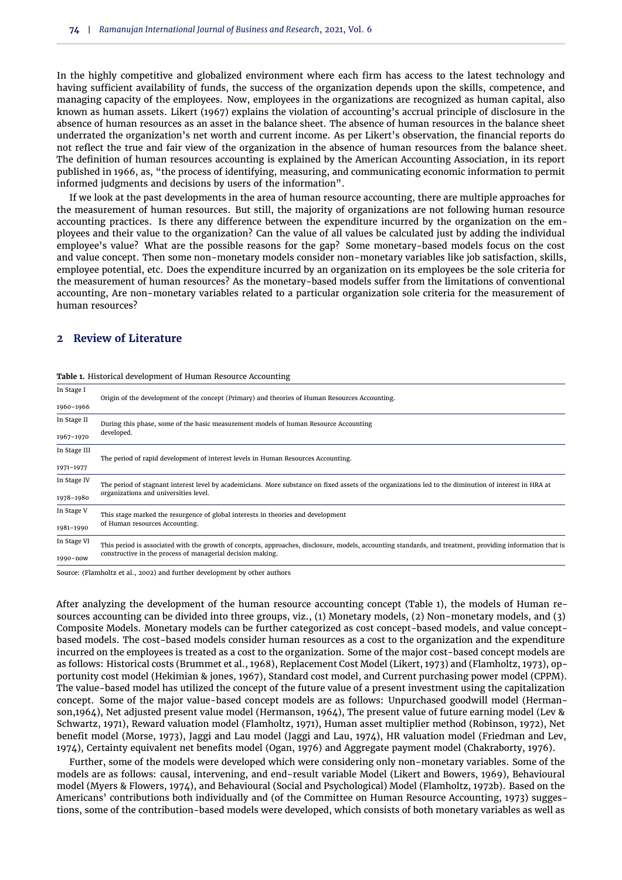In the highly competitive and globalized environment where each firm has access to the latest technology and having sufficient availability of funds, the success of the organization depends upon the skills, competence, and managing capacity of the employees. Now, employees in the organizations are recognized as human capital, also known as human assets. [Likert](#page-12-0) [\(1967\)](#page-12-0) explains the violation of accounting's accrual principle of disclosure in the absence of human resources as an asset in the balance sheet. The absence of human resources in the balance sheet underrated the organization's net worth and current income. As per Likert's observation, the financial reports do not reflect the true and fair view of the organization in the absence of human resources from the balance sheet. The definition of human resources accounting is explained by the American Accounting Association, in its report published in 1966, as, "the process of identifying, measuring, and communicating economic information to permit informed judgments and decisions by users of the information".

If we look at the past developments in the area of human resource accounting, there are multiple approaches for the measurement of human resources. But still, the majority of organizations are not following human resource accounting practices. Is there any difference between the expenditure incurred by the organization on the employees and their value to the organization? Can the value of all values be calculated just by adding the individual employee's value? What are the possible reasons for the gap? Some monetary-based models focus on the cost and value concept. Then some non-monetary models consider non-monetary variables like job satisfaction, skills, employee potential, etc. Does the expenditure incurred by an organization on its employees be the sole criteria for the measurement of human resources? As the monetary-based models suffer from the limitations of conventional accounting, Are non-monetary variables related to a particular organization sole criteria for the measurement of human resources?

# **2 Review of Literature**

| In Stage I   | Origin of the development of the concept (Primary) and theories of Human Resources Accounting.                                                            |  |  |  |  |  |  |
|--------------|-----------------------------------------------------------------------------------------------------------------------------------------------------------|--|--|--|--|--|--|
| 1960-1966    |                                                                                                                                                           |  |  |  |  |  |  |
| In Stage II  | During this phase, some of the basic measurement models of human Resource Accounting                                                                      |  |  |  |  |  |  |
| 1967-1970    | developed.                                                                                                                                                |  |  |  |  |  |  |
| In Stage III | The period of rapid development of interest levels in Human Resources Accounting.                                                                         |  |  |  |  |  |  |
| 1971-1977    |                                                                                                                                                           |  |  |  |  |  |  |
| In Stage IV  | The period of stagnant interest level by academicians. More substance on fixed assets of the organizations led to the diminution of interest in HRA at    |  |  |  |  |  |  |
| 1978-1980    | organizations and universities level.                                                                                                                     |  |  |  |  |  |  |
| In Stage V   | This stage marked the resurgence of global interests in theories and development                                                                          |  |  |  |  |  |  |
| 1981-1990    | of Human resources Accounting.                                                                                                                            |  |  |  |  |  |  |
| In Stage VI  | This period is associated with the growth of concepts, approaches, disclosure, models, accounting standards, and treatment, providing information that is |  |  |  |  |  |  |
| 1990-now     | constructive in the process of managerial decision making.                                                                                                |  |  |  |  |  |  |
|              |                                                                                                                                                           |  |  |  |  |  |  |

<span id="page-1-0"></span>

|  |  |  |  |  |  |  |  | <b>Table 1.</b> Historical development of Human Resource Accounting |  |  |
|--|--|--|--|--|--|--|--|---------------------------------------------------------------------|--|--|
|--|--|--|--|--|--|--|--|---------------------------------------------------------------------|--|--|

Source: [\(Flamholtz et al.,](#page-11-0) [2002\)](#page-11-0) and further development by other authors

After analyzing the development of the human resource accounting concept [\(Table 1\)](#page-1-0), the models of Human resources accounting can be divided into three groups, viz., (1) Monetary models, (2) Non-monetary models, and (3) Composite Models. Monetary models can be further categorized as cost concept-based models, and value conceptbased models. The cost-based models consider human resources as a cost to the organization and the expenditure incurred on the employees is treated as a cost to the organization. Some of the major cost-based concept models are as follows: Historical costs [\(Brummet et al.,](#page-11-1) [1968\)](#page-11-1), Replacement Cost Model [\(Likert,](#page-12-1) [1973\)](#page-12-1) and [\(Flamholtz,](#page-11-2) [1973\)](#page-11-2), opportunity cost model (Hekimian & jones, 1967), Standard cost model, and Current purchasing power model (CPPM). The value-based model has utilized the concept of the future value of a present investment using the capitalization concept. Some of the major value-based concept models are as follows: Unpurchased goodwill model (Hermanson,1964), Net adjusted present value model (Hermanson, 1964), The present value of future earning model (Lev & Schwartz, 1971), Reward valuation model [\(Flamholtz,](#page-11-3) [1971\)](#page-11-3), Human asset multiplier method (Robinson, 1972), Net benefit model [\(Morse,](#page-12-2) [1973\)](#page-12-2), Jaggi and Lau model [\(Jaggi and Lau,](#page-11-4) [1974\)](#page-11-4), HR valuation model [\(Friedman and Lev,](#page-11-5) [1974\)](#page-11-5), Certainty equivalent net benefits model (Ogan, 1976) and Aggregate payment model (Chakraborty, 1976).

Further, some of the models were developed which were considering only non-monetary variables. Some of the models are as follows: causal, intervening, and end-result variable Model [\(Likert and Bowers,](#page-12-3) [1969\)](#page-12-3), Behavioural model (Myers & Flowers, 1974), and Behavioural (Social and Psychological) Model [\(Flamholtz,](#page-11-6) [1972b\)](#page-11-6). Based on the Americans' contributions both individually and [\(of the Committee on Human Resource Accounting,](#page-11-7) [1973\)](#page-11-7) suggestions, some of the contribution-based models were developed, which consists of both monetary variables as well as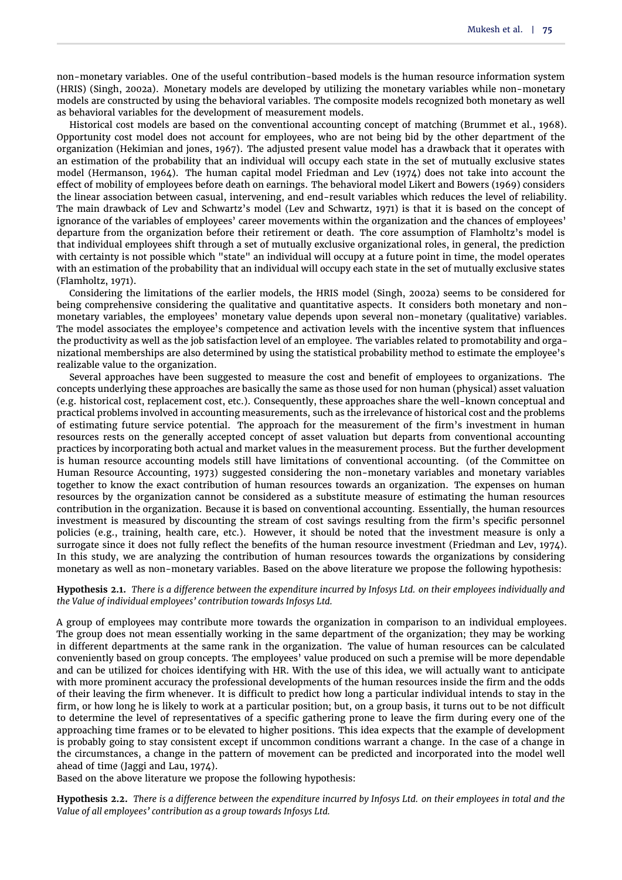non-monetary variables. One of the useful contribution-based models is the human resource information system (HRIS) [\(Singh,](#page-12-4) [2002a\)](#page-12-4). Monetary models are developed by utilizing the monetary variables while non-monetary models are constructed by using the behavioral variables. The composite models recognized both monetary as well as behavioral variables for the development of measurement models.

Historical cost models are based on the conventional accounting concept of matching [\(Brummet et al.,](#page-11-1) [1968\)](#page-11-1). Opportunity cost model does not account for employees, who are not being bid by the other department of the organization (Hekimian and jones, 1967). The adjusted present value model has a drawback that it operates with an estimation of the probability that an individual will occupy each state in the set of mutually exclusive states model (Hermanson, 1964). The human capital model [Friedman and Lev](#page-11-5) [\(1974\)](#page-11-5) does not take into account the effect of mobility of employees before death on earnings. The behavioral model [Likert and Bowers](#page-12-3) [\(1969\)](#page-12-3) considers the linear association between casual, intervening, and end-result variables which reduces the level of reliability. The main drawback of Lev and Schwartz's model (Lev and Schwartz, 1971) is that it is based on the concept of ignorance of the variables of employees' career movements within the organization and the chances of employees' departure from the organization before their retirement or death. The core assumption of Flamholtz's model is that individual employees shift through a set of mutually exclusive organizational roles, in general, the prediction with certainty is not possible which "state" an individual will occupy at a future point in time, the model operates with an estimation of the probability that an individual will occupy each state in the set of mutually exclusive states [\(Flamholtz,](#page-11-3) [1971\)](#page-11-3).

Considering the limitations of the earlier models, the HRIS model [\(Singh,](#page-12-4) [2002a\)](#page-12-4) seems to be considered for being comprehensive considering the qualitative and quantitative aspects. It considers both monetary and nonmonetary variables, the employees' monetary value depends upon several non-monetary (qualitative) variables. The model associates the employee's competence and activation levels with the incentive system that influences the productivity as well as the job satisfaction level of an employee. The variables related to promotability and organizational memberships are also determined by using the statistical probability method to estimate the employee's realizable value to the organization.

Several approaches have been suggested to measure the cost and benefit of employees to organizations. The concepts underlying these approaches are basically the same as those used for non human (physical) asset valuation (e.g. historical cost, replacement cost, etc.). Consequently, these approaches share the well-known conceptual and practical problems involved in accounting measurements, such as the irrelevance of historical cost and the problems of estimating future service potential. The approach for the measurement of the firm's investment in human resources rests on the generally accepted concept of asset valuation but departs from conventional accounting practices by incorporating both actual and market values in the measurement process. But the further development is human resource accounting models still have limitations of conventional accounting. [\(of the Committee on](#page-11-7) [Human Resource Accounting,](#page-11-7) [1973\)](#page-11-7) suggested considering the non-monetary variables and monetary variables together to know the exact contribution of human resources towards an organization. The expenses on human resources by the organization cannot be considered as a substitute measure of estimating the human resources contribution in the organization. Because it is based on conventional accounting. Essentially, the human resources investment is measured by discounting the stream of cost savings resulting from the firm's specific personnel policies (e.g., training, health care, etc.). However, it should be noted that the investment measure is only a surrogate since it does not fully reflect the benefits of the human resource investment [\(Friedman and Lev,](#page-11-5) [1974\)](#page-11-5). In this study, we are analyzing the contribution of human resources towards the organizations by considering monetary as well as non-monetary variables. Based on the above literature we propose the following hypothesis:

<span id="page-2-0"></span>**Hypothesis 2.1.** *There is a difference between the expenditure incurred by Infosys Ltd. on their employees individually and the Value of individual employees' contribution towards Infosys Ltd.*

A group of employees may contribute more towards the organization in comparison to an individual employees. The group does not mean essentially working in the same department of the organization; they may be working in different departments at the same rank in the organization. The value of human resources can be calculated conveniently based on group concepts. The employees' value produced on such a premise will be more dependable and can be utilized for choices identifying with HR. With the use of this idea, we will actually want to anticipate with more prominent accuracy the professional developments of the human resources inside the firm and the odds of their leaving the firm whenever. It is difficult to predict how long a particular individual intends to stay in the firm, or how long he is likely to work at a particular position; but, on a group basis, it turns out to be not difficult to determine the level of representatives of a specific gathering prone to leave the firm during every one of the approaching time frames or to be elevated to higher positions. This idea expects that the example of development is probably going to stay consistent except if uncommon conditions warrant a change. In the case of a change in the circumstances, a change in the pattern of movement can be predicted and incorporated into the model well ahead of time [\(Jaggi and Lau,](#page-11-4) [1974\)](#page-11-4).

Based on the above literature we propose the following hypothesis:

<span id="page-2-1"></span>**Hypothesis 2.2.** *There is a difference between the expenditure incurred by Infosys Ltd. on their employees in total and the Value of all employees' contribution as a group towards Infosys Ltd.*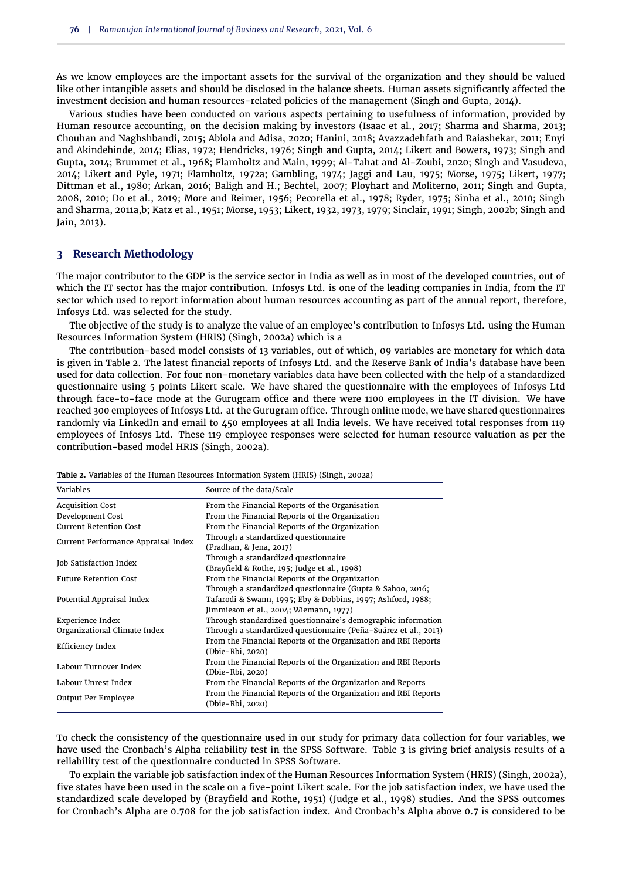As we know employees are the important assets for the survival of the organization and they should be valued like other intangible assets and should be disclosed in the balance sheets. Human assets significantly affected the investment decision and human resources-related policies of the management [\(Singh and Gupta,](#page-12-5) [2014\)](#page-12-5).

Various studies have been conducted on various aspects pertaining to usefulness of information, provided by Human resource accounting, on the decision making by investors [\(Isaac et al.,](#page-11-8) [2017;](#page-11-8) [Sharma and Sharma,](#page-12-6) [2013;](#page-12-6) [Chouhan and Naghshbandi,](#page-11-9) [2015;](#page-11-9) [Abiola and Adisa,](#page-10-0) [2020;](#page-10-0) [Hanini,](#page-11-10) [2018;](#page-11-10) [Avazzadehfath and Raiashekar,](#page-11-11) [2011;](#page-11-11) [Enyi](#page-11-12) [and Akindehinde,](#page-11-12) [2014;](#page-11-12) [Elias,](#page-11-13) [1972;](#page-11-13) [Hendricks,](#page-11-14) [1976;](#page-11-14) [Singh and Gupta,](#page-12-5) [2014;](#page-12-5) [Likert and Bowers,](#page-12-7) [1973;](#page-12-7) [Singh and](#page-12-5) [Gupta,](#page-12-5) [2014;](#page-12-5) [Brummet et al.,](#page-11-1) [1968;](#page-11-1) [Flamholtz and Main,](#page-11-15) [1999;](#page-11-15) [Al-Tahat and Al-Zoubi,](#page-10-1) [2020;](#page-10-1) [Singh and Vasudeva,](#page-12-8) [2014;](#page-12-8) [Likert and Pyle,](#page-12-9) [1971;](#page-12-9) [Flamholtz,](#page-11-16) [1972a;](#page-11-16) [Gambling,](#page-11-17) [1974;](#page-11-17) [Jaggi and Lau,](#page-11-18) [1975;](#page-11-18) [Morse,](#page-12-10) [1975;](#page-12-10) [Likert,](#page-12-11) [1977;](#page-12-11) [Dittman et al.,](#page-11-19) [1980;](#page-11-19) [Arkan,](#page-11-20) [2016;](#page-11-20) [Baligh and H.;](#page-11-21) [Bechtel,](#page-11-22) [2007;](#page-11-22) [Ployhart and Moliterno,](#page-12-12) [2011;](#page-12-12) [Singh and Gupta,](#page-12-13) [2008,](#page-12-13) [2010;](#page-12-14) [Do et al.,](#page-11-23) [2019;](#page-11-23) [More and Reimer,](#page-12-15) [1956;](#page-12-15) [Pecorella et al.,](#page-12-16) [1978;](#page-12-16) [Ryder,](#page-12-17) [1975;](#page-12-17) [Sinha et al.,](#page-12-18) [2010;](#page-12-18) [Singh](#page-12-19) [and Sharma,](#page-12-19) [2011a](#page-12-19)[,b;](#page-12-20) [Katz et al.,](#page-12-21) [1951;](#page-12-21) [Morse,](#page-12-22) [1953;](#page-12-22) [Likert,](#page-12-23) [1932,](#page-12-23) [1973,](#page-12-1) [1979;](#page-12-24) [Sinclair,](#page-12-25) [1991;](#page-12-25) [Singh,](#page-12-26) [2002b;](#page-12-26) [Singh and](#page-12-27) [Jain,](#page-12-27) [2013\)](#page-12-27).

### **3 Research Methodology**

The major contributor to the GDP is the service sector in India as well as in most of the developed countries, out of which the IT sector has the major contribution. Infosys Ltd. is one of the leading companies in India, from the IT sector which used to report information about human resources accounting as part of the annual report, therefore, Infosys Ltd. was selected for the study.

The objective of the study is to analyze the value of an employee's contribution to Infosys Ltd. using the Human Resources Information System (HRIS) [\(Singh,](#page-12-4) [2002a\)](#page-12-4) which is a

The contribution-based model consists of 13 variables, out of which, 09 variables are monetary for which data is given in [Table 2.](#page-3-0) The latest financial reports of Infosys Ltd. and the Reserve Bank of India's database have been used for data collection. For four non-monetary variables data have been collected with the help of a standardized questionnaire using 5 points Likert scale. We have shared the questionnaire with the employees of Infosys Ltd through face-to-face mode at the Gurugram office and there were 1100 employees in the IT division. We have reached 300 employees of Infosys Ltd. at the Gurugram office. Through online mode, we have shared questionnaires randomly via LinkedIn and email to 450 employees at all India levels. We have received total responses from 119 employees of Infosys Ltd. These 119 employee responses were selected for human resource valuation as per the contribution-based model HRIS [\(Singh,](#page-12-4) [2002a\)](#page-12-4).

| Variables                           | Source of the data/Scale                                                                                     |
|-------------------------------------|--------------------------------------------------------------------------------------------------------------|
| <b>Acquisition Cost</b>             | From the Financial Reports of the Organisation                                                               |
| Development Cost                    | From the Financial Reports of the Organization                                                               |
| <b>Current Retention Cost</b>       | From the Financial Reports of the Organization                                                               |
| Current Performance Appraisal Index | Through a standardized questionnaire<br>(Pradhan, & Jena, 2017)                                              |
| Job Satisfaction Index              | Through a standardized questionnaire<br>(Brayfield & Rothe, 195; Judge et al., 1998)                         |
| <b>Future Retention Cost</b>        | From the Financial Reports of the Organization<br>Through a standardized questionnaire (Gupta & Sahoo, 2016; |
| Potential Appraisal Index           | Tafarodi & Swann, 1995; Eby & Dobbins, 1997; Ashford, 1988;<br>Jimmieson et al., 2004; Wiemann, 1977)        |
| <b>Experience Index</b>             | Through standardized questionnaire's demographic information                                                 |
| Organizational Climate Index        | Through a standardized questionnaire (Peña-Suárez et al., 2013)                                              |
| Efficiency Index                    | From the Financial Reports of the Organization and RBI Reports<br>(Dbie-Rbi, 2020)                           |
| Labour Turnover Index               | From the Financial Reports of the Organization and RBI Reports<br>(Dbie-Rbi, 2020)                           |
| Labour Unrest Index                 | From the Financial Reports of the Organization and Reports                                                   |
| Output Per Employee                 | From the Financial Reports of the Organization and RBI Reports<br>(Dbie-Rbi, 2020)                           |

<span id="page-3-0"></span>**Table 2.** Variables of the Human Resources Information System (HRIS) (Singh, 2002a)

To check the consistency of the questionnaire used in our study for primary data collection for four variables, we have used the Cronbach's Alpha reliability test in the SPSS Software. Table 3 is giving brief analysis results of a reliability test of the questionnaire conducted in SPSS Software.

To explain the variable job satisfaction index of the Human Resources Information System (HRIS) [\(Singh,](#page-12-4) [2002a\)](#page-12-4), five states have been used in the scale on a five-point Likert scale. For the job satisfaction index, we have used the standardized scale developed by [\(Brayfield and Rothe,](#page-11-24) [1951\)](#page-11-24) [\(Judge et al.,](#page-11-25) [1998\)](#page-11-25) studies. And the SPSS outcomes for Cronbach's Alpha are 0.708 for the job satisfaction index. And Cronbach's Alpha above 0.7 is considered to be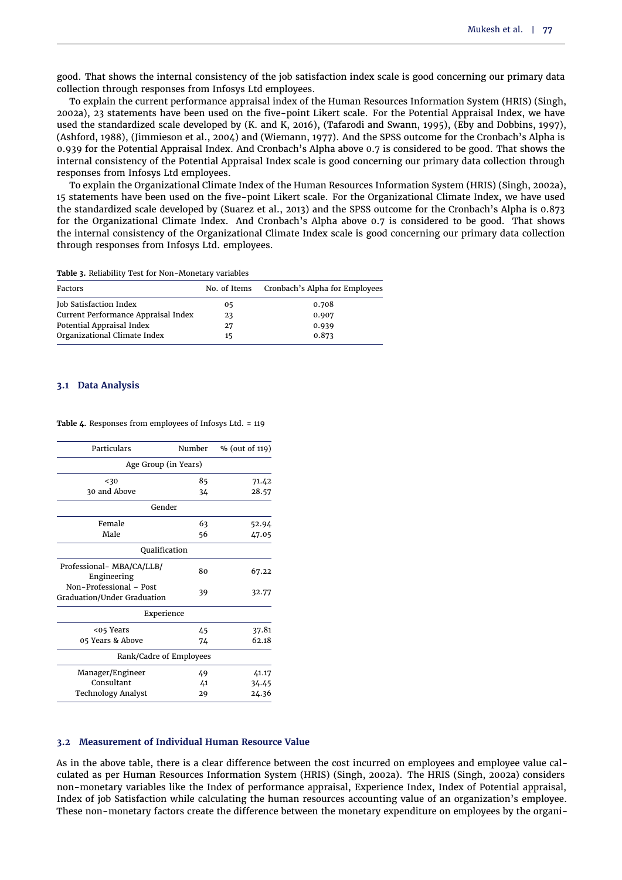good. That shows the internal consistency of the job satisfaction index scale is good concerning our primary data collection through responses from Infosys Ltd employees.

To explain the current performance appraisal index of the Human Resources Information System (HRIS) [\(Singh,](#page-12-4) [2002a\)](#page-12-4), 23 statements have been used on the five-point Likert scale. For the Potential Appraisal Index, we have used the standardized scale developed by [\(K. and K,](#page-11-26) [2016\)](#page-11-26), [\(Tafarodi and Swann,](#page-13-1) [1995\)](#page-13-1), [\(Eby and Dobbins,](#page-11-27) [1997\)](#page-11-27), [\(Ashford,](#page-11-28) [1988\)](#page-11-28), [\(Jimmieson et al.,](#page-11-29) [2004\)](#page-11-29) and [\(Wiemann,](#page-13-2) [1977\)](#page-13-2). And the SPSS outcome for the Cronbach's Alpha is 0.939 for the Potential Appraisal Index. And Cronbach's Alpha above 0.7 is considered to be good. That shows the internal consistency of the Potential Appraisal Index scale is good concerning our primary data collection through responses from Infosys Ltd employees.

To explain the Organizational Climate Index of the Human Resources Information System (HRIS) [\(Singh,](#page-12-4) [2002a\)](#page-12-4), 15 statements have been used on the five-point Likert scale. For the Organizational Climate Index, we have used the standardized scale developed by [\(Suarez et al.,](#page-12-28) [2013\)](#page-12-28) and the SPSS outcome for the Cronbach's Alpha is 0.873 for the Organizational Climate Index. And Cronbach's Alpha above 0.7 is considered to be good. That shows the internal consistency of the Organizational Climate Index scale is good concerning our primary data collection through responses from Infosys Ltd. employees.

**Table 3.** Reliability Test for Non-Monetary variables

| Factors                             | No. of Items | Cronbach's Alpha for Employees |
|-------------------------------------|--------------|--------------------------------|
| Job Satisfaction Index              | 05           | 0.708                          |
| Current Performance Appraisal Index | 23           | 0.907                          |
| Potential Appraisal Index           | 27           | 0.939                          |
| Organizational Climate Index        | 15           | 0.873                          |

#### **3.1 Data Analysis**

#### **Table 4.** Responses from employees of Infosys Ltd. = 119

| Particulars                                            | Number | % (out of 119) |
|--------------------------------------------------------|--------|----------------|
| Age Group (in Years)                                   |        |                |
| < 30                                                   | 85     | 71.42          |
| 30 and Above                                           | 34     | 28.57          |
| Gender                                                 |        |                |
| Female                                                 | 63     | 52.94          |
| Male                                                   | 56     | 47.05          |
| Qualification                                          |        |                |
| Professional- MBA/CA/LLB/<br>Engineering               | 80     | 67.22          |
| Non-Professional - Post<br>Graduation/Under Graduation | 39     | 32.77          |
| Experience                                             |        |                |
| <05 Years                                              | 45     | 37.81          |
| 05 Years & Above                                       | 74     | 62.18          |
| Rank/Cadre of Employees                                |        |                |
| Manager/Engineer                                       | 49     | 41.17          |
| Consultant                                             | 41     | 34.45          |
| Technology Analyst                                     | 29     | 24.36          |

#### **3.2 Measurement of Individual Human Resource Value**

As in the above table, there is a clear difference between the cost incurred on employees and employee value calculated as per Human Resources Information System (HRIS) [\(Singh,](#page-12-4) [2002a\)](#page-12-4). The HRIS [\(Singh,](#page-12-4) [2002a\)](#page-12-4) considers non-monetary variables like the Index of performance appraisal, Experience Index, Index of Potential appraisal, Index of job Satisfaction while calculating the human resources accounting value of an organization's employee. These non-monetary factors create the difference between the monetary expenditure on employees by the organi-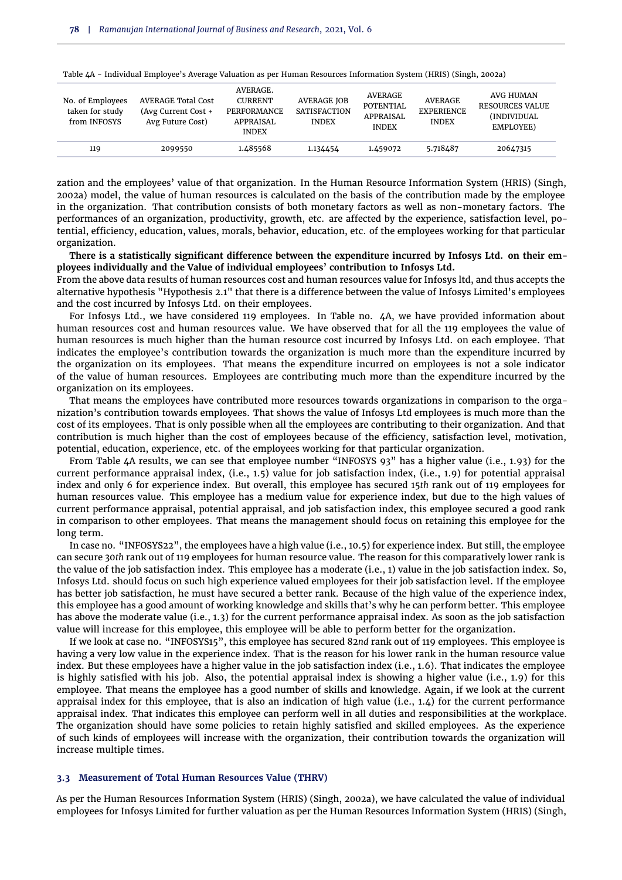| No. of Employees<br>taken for study<br>from INFOSYS | <b>AVERAGE Total Cost</b><br>(Avg Current Cost +<br>Avg Future Cost) | AVERAGE.<br><b>CURRENT</b><br><b>PERFORMANCE</b><br>APPRAISAL<br><b>INDEX</b> | <b>AVERAGE JOB</b><br><b>SATISFACTION</b><br><b>INDEX</b> | AVERAGE<br>POTENTIAL<br>APPRAISAL<br><b>INDEX</b> | AVERAGE<br><b>EXPERIENCE</b><br><b>INDEX</b> | AVG HUMAN<br><b>RESOURCES VALUE</b><br>(INDIVIDUAL)<br>EMPLOYEE) |
|-----------------------------------------------------|----------------------------------------------------------------------|-------------------------------------------------------------------------------|-----------------------------------------------------------|---------------------------------------------------|----------------------------------------------|------------------------------------------------------------------|
| 119                                                 | 2099550                                                              | 1.485568                                                                      | 1.134454                                                  | 1.459072                                          | 5.718487                                     | 20647315                                                         |

<span id="page-5-0"></span>Table 4A - Individual Employee's Average Valuation as per Human Resources Information System (HRIS) [\(Singh,](#page-12-4) [2002a\)](#page-12-4)

zation and the employees' value of that organization. In the Human Resource Information System (HRIS) [\(Singh,](#page-12-4) [2002a\)](#page-12-4) model, the value of human resources is calculated on the basis of the contribution made by the employee in the organization. That contribution consists of both monetary factors as well as non-monetary factors. The performances of an organization, productivity, growth, etc. are affected by the experience, satisfaction level, potential, efficiency, education, values, morals, behavior, education, etc. of the employees working for that particular organization.

**There is a statistically significant difference between the expenditure incurred by Infosys Ltd. on their employees individually and the Value of individual employees' contribution to Infosys Ltd.**

From the above data results of human resources cost and human resources value for Infosys ltd, and thus accepts the alternative hypothesis ["Hypothesis 2.1"](#page-2-0) that there is a difference between the value of Infosys Limited's employees and the cost incurred by Infosys Ltd. on their employees.

For Infosys Ltd., we have considered 119 employees. In Table no. 4A, we have provided information about human resources cost and human resources value. We have observed that for all the 119 employees the value of human resources is much higher than the human resource cost incurred by Infosys Ltd. on each employee. That indicates the employee's contribution towards the organization is much more than the expenditure incurred by the organization on its employees. That means the expenditure incurred on employees is not a sole indicator of the value of human resources. Employees are contributing much more than the expenditure incurred by the organization on its employees.

That means the employees have contributed more resources towards organizations in comparison to the organization's contribution towards employees. That shows the value of Infosys Ltd employees is much more than the cost of its employees. That is only possible when all the employees are contributing to their organization. And that contribution is much higher than the cost of employees because of the efficiency, satisfaction level, motivation, potential, education, experience, etc. of the employees working for that particular organization.

From [Table 4A](#page-5-0) results, we can see that employee number "INFOSYS 93" has a higher value (i.e., 1.93) for the current performance appraisal index, (i.e., 1.5) value for job satisfaction index, (i.e., 1.9) for potential appraisal index and only 6 for experience index. But overall, this employee has secured 15*th* rank out of 119 employees for human resources value. This employee has a medium value for experience index, but due to the high values of current performance appraisal, potential appraisal, and job satisfaction index, this employee secured a good rank in comparison to other employees. That means the management should focus on retaining this employee for the long term.

In case no. "INFOSYS22", the employees have a high value (i.e., 10.5) for experience index. But still, the employee can secure 30*th* rank out of 119 employees for human resource value. The reason for this comparatively lower rank is the value of the job satisfaction index. This employee has a moderate (i.e., 1) value in the job satisfaction index. So, Infosys Ltd. should focus on such high experience valued employees for their job satisfaction level. If the employee has better job satisfaction, he must have secured a better rank. Because of the high value of the experience index, this employee has a good amount of working knowledge and skills that's why he can perform better. This employee has above the moderate value (i.e., 1.3) for the current performance appraisal index. As soon as the job satisfaction value will increase for this employee, this employee will be able to perform better for the organization.

If we look at case no. "INFOSYS15", this employee has secured 82*nd* rank out of 119 employees. This employee is having a very low value in the experience index. That is the reason for his lower rank in the human resource value index. But these employees have a higher value in the job satisfaction index (i.e., 1.6). That indicates the employee is highly satisfied with his job. Also, the potential appraisal index is showing a higher value (i.e., 1.9) for this employee. That means the employee has a good number of skills and knowledge. Again, if we look at the current appraisal index for this employee, that is also an indication of high value (i.e., 1.4) for the current performance appraisal index. That indicates this employee can perform well in all duties and responsibilities at the workplace. The organization should have some policies to retain highly satisfied and skilled employees. As the experience of such kinds of employees will increase with the organization, their contribution towards the organization will increase multiple times.

#### **3.3 Measurement of Total Human Resources Value (THRV)**

As per the Human Resources Information System (HRIS) [\(Singh,](#page-12-4) [2002a\)](#page-12-4), we have calculated the value of individual employees for Infosys Limited for further valuation as per the Human Resources Information System (HRIS) [\(Singh,](#page-12-4)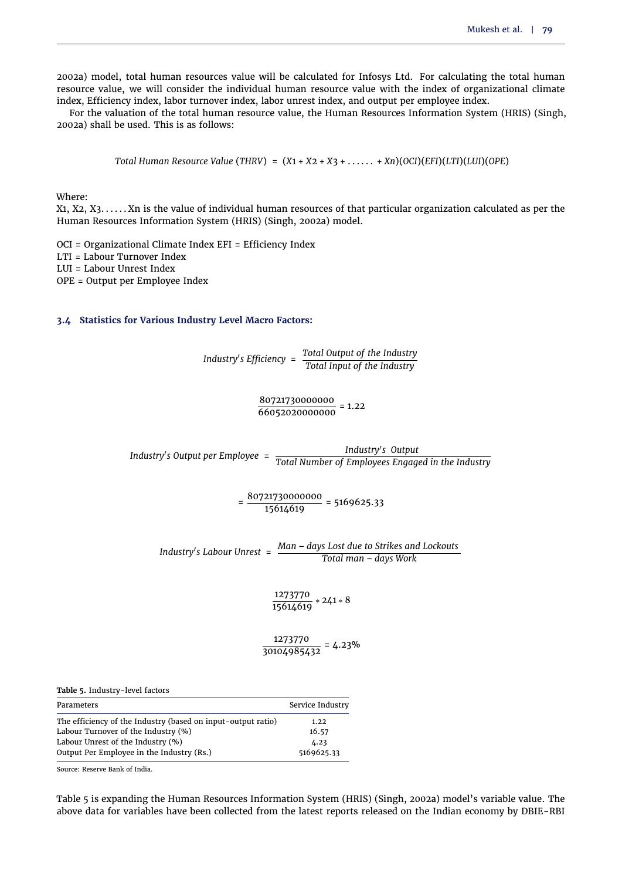[2002a\)](#page-12-4) model, total human resources value will be calculated for Infosys Ltd. For calculating the total human resource value, we will consider the individual human resource value with the index of organizational climate index, Efficiency index, labor turnover index, labor unrest index, and output per employee index.

For the valuation of the total human resource value, the Human Resources Information System (HRIS) [\(Singh,](#page-12-4) [2002a\)](#page-12-4) shall be used. This is as follows:

*Total Human Resource Value* (*THRV*) = (*X*1 + *X*2 + *X*3 + . . . . . . + *Xn*)(*OCI*)(*EFI*)(*LTI*)(*LUI*)(*OPE*)

Where:

X1, X2, X3. . . . . . Xn is the value of individual human resources of that particular organization calculated as per the Human Resources Information System (HRIS) [\(Singh,](#page-12-4) [2002a\)](#page-12-4) model.

OCI = Organizational Climate Index EFI = Efficiency Index LTI = Labour Turnover Index LUI = Labour Unrest Index OPE = Output per Employee Index

## **3.4 Statistics for Various Industry Level Macro Factors:**

*Industry's Efficiency* =  $\frac{\text{Total Output of the Industry}}{\text{Total Input of the Industry}}$ *Total Input of the Industry*

 $\frac{80721730000000}{66052020000000} = 1.22$ 

*Industry*<sup>0</sup> *s Output per Employee* = *Total Number of Employees Engaged in the Industry* Industry's Output

 $=\frac{80721730000000}{15614619}$  = 5169625.33

*Industry's Labour Unrest* = <u>Man – days Lost due to Strikes and Lockouts</u> *Total man* – *days Work*

 $\frac{1273770}{15614619}$  \* 241 \* 8

 $\frac{1273770}{30104985432}$  = 4.23%

<span id="page-6-0"></span>**Table 5.** Industry-level factors

| Parameters                                                   | Service Industry |
|--------------------------------------------------------------|------------------|
| The efficiency of the Industry (based on input-output ratio) | 1.22             |
| Labour Turnover of the Industry (%)                          | 16.57            |
| Labour Unrest of the Industry (%)                            | 4.23             |
| Output Per Employee in the Industry (Rs.)                    | 5169625.33       |

Source: Reserve Bank of India.

[Table 5](#page-6-0) is expanding the Human Resources Information System (HRIS) [\(Singh,](#page-12-4) [2002a\)](#page-12-4) model's variable value. The above data for variables have been collected from the latest reports released on the Indian economy by DBIE-RBI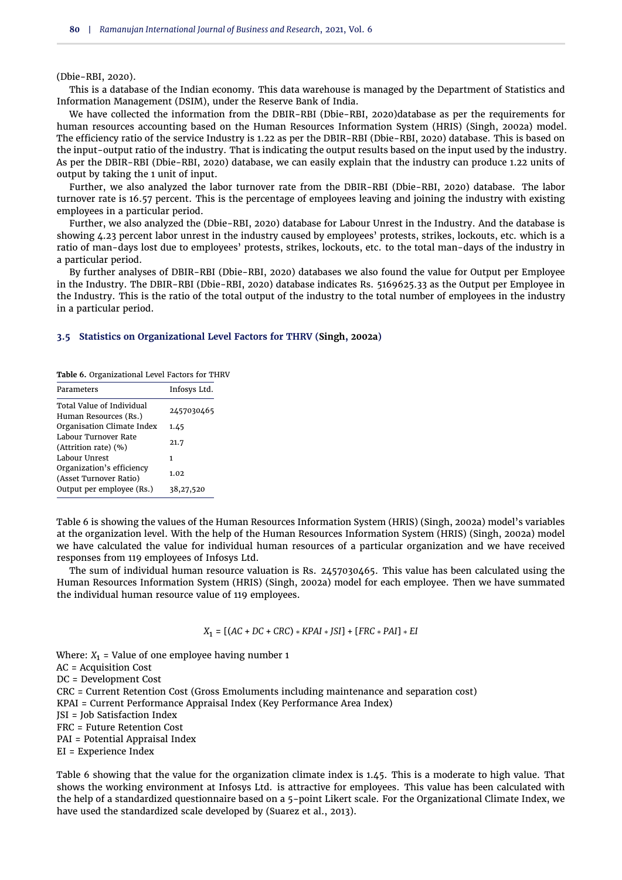#### [\(Dbie-RBI,](#page-11-30) [2020\)](#page-11-30).

This is a database of the Indian economy. This data warehouse is managed by the Department of Statistics and Information Management (DSIM), under the Reserve Bank of India.

We have collected the information from the DBIR-RBI [\(Dbie-RBI,](#page-11-30) [2020\)](#page-11-30)database as per the requirements for human resources accounting based on the Human Resources Information System (HRIS) [\(Singh,](#page-12-4) [2002a\)](#page-12-4) model. The efficiency ratio of the service Industry is 1.22 as per the DBIR-RBI [\(Dbie-RBI,](#page-11-30) [2020\)](#page-11-30) database. This is based on the input-output ratio of the industry. That is indicating the output results based on the input used by the industry. As per the DBIR-RBI [\(Dbie-RBI,](#page-11-30) [2020\)](#page-11-30) database, we can easily explain that the industry can produce 1.22 units of output by taking the 1 unit of input.

Further, we also analyzed the labor turnover rate from the DBIR-RBI [\(Dbie-RBI,](#page-11-30) [2020\)](#page-11-30) database. The labor turnover rate is 16.57 percent. This is the percentage of employees leaving and joining the industry with existing employees in a particular period.

Further, we also analyzed the [\(Dbie-RBI,](#page-11-30) [2020\)](#page-11-30) database for Labour Unrest in the Industry. And the database is showing 4.23 percent labor unrest in the industry caused by employees' protests, strikes, lockouts, etc. which is a ratio of man-days lost due to employees' protests, strikes, lockouts, etc. to the total man-days of the industry in a particular period.

By further analyses of DBIR-RBI [\(Dbie-RBI,](#page-11-30) [2020\)](#page-11-30) databases we also found the value for Output per Employee in the Industry. The DBIR-RBI [\(Dbie-RBI,](#page-11-30) [2020\)](#page-11-30) database indicates Rs. 5169625.33 as the Output per Employee in the Industry. This is the ratio of the total output of the industry to the total number of employees in the industry in a particular period.

## **3.5 Statistics on Organizational Level Factors for THRV [\(Singh,](#page-12-4) [2002a\)](#page-12-4)**

<span id="page-7-0"></span>**Table 6.** Organizational Level Factors for THRV

| Parameters                                                | Infosys Ltd. |
|-----------------------------------------------------------|--------------|
| <b>Total Value of Individual</b><br>Human Resources (Rs.) | 2457030465   |
| Organisation Climate Index                                | 1.45         |
| Labour Turnover Rate<br>(Attrition rate) (%)              | 21.7         |
| Labour Unrest                                             | 1            |
| Organization's efficiency<br>(Asset Turnover Ratio)       | 1.02         |
| Output per employee (Rs.)                                 | 38,27,520    |

[Table 6](#page-7-0) is showing the values of the Human Resources Information System (HRIS) [\(Singh,](#page-12-4) [2002a\)](#page-12-4) model's variables at the organization level. With the help of the Human Resources Information System (HRIS) [\(Singh,](#page-12-4) [2002a\)](#page-12-4) model we have calculated the value for individual human resources of a particular organization and we have received responses from 119 employees of Infosys Ltd.

The sum of individual human resource valuation is Rs. 2457030465. This value has been calculated using the Human Resources Information System (HRIS) [\(Singh,](#page-12-4) [2002a\)](#page-12-4) model for each employee. Then we have summated the individual human resource value of 119 employees.

*X*<sup>1</sup> = [(*AC* + *DC* + *CRC*) ∗ *KPAI* ∗ *JSI*] + [*FRC* ∗ *PAI*] ∗ *EI*

Where:  $X_1$  = Value of one employee having number 1 AC = Acquisition Cost DC = Development Cost CRC = Current Retention Cost (Gross Emoluments including maintenance and separation cost) KPAI = Current Performance Appraisal Index (Key Performance Area Index) JSI = Job Satisfaction Index FRC = Future Retention Cost PAI = Potential Appraisal Index EI = Experience Index

[Table 6](#page-7-0) showing that the value for the organization climate index is 1.45. This is a moderate to high value. That shows the working environment at Infosys Ltd. is attractive for employees. This value has been calculated with the help of a standardized questionnaire based on a 5-point Likert scale. For the Organizational Climate Index, we have used the standardized scale developed by [\(Suarez et al.,](#page-12-28) [2013\)](#page-12-28).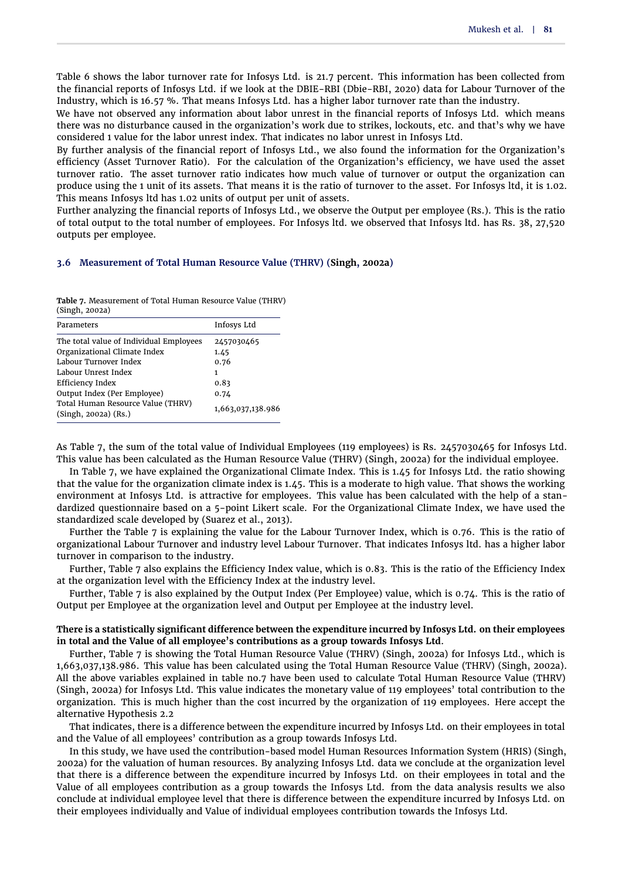[Table 6](#page-7-0) shows the labor turnover rate for Infosys Ltd. is 21.7 percent. This information has been collected from the financial reports of Infosys Ltd. if we look at the DBIE-RBI [\(Dbie-RBI,](#page-11-30) [2020\)](#page-11-30) data for Labour Turnover of the Industry, which is 16.57 %. That means Infosys Ltd. has a higher labor turnover rate than the industry.

We have not observed any information about labor unrest in the financial reports of Infosys Ltd. which means there was no disturbance caused in the organization's work due to strikes, lockouts, etc. and that's why we have considered 1 value for the labor unrest index. That indicates no labor unrest in Infosys Ltd.

By further analysis of the financial report of Infosys Ltd., we also found the information for the Organization's efficiency (Asset Turnover Ratio). For the calculation of the Organization's efficiency, we have used the asset turnover ratio. The asset turnover ratio indicates how much value of turnover or output the organization can produce using the 1 unit of its assets. That means it is the ratio of turnover to the asset. For Infosys ltd, it is 1.02. This means Infosys ltd has 1.02 units of output per unit of assets.

Further analyzing the financial reports of Infosys Ltd., we observe the Output per employee (Rs.). This is the ratio of total output to the total number of employees. For Infosys ltd. we observed that Infosys ltd. has Rs. 38, 27,520 outputs per employee.

#### **3.6 Measurement of Total Human Resource Value (THRV) [\(Singh,](#page-12-4) [2002a\)](#page-12-4)**

<span id="page-8-0"></span>**Table 7.** Measurement of Total Human Resource Value (THRV) (Singh, 2002a)

| Parameters                                                    | Infosys Ltd       |
|---------------------------------------------------------------|-------------------|
| The total value of Individual Employees                       | 2457030465        |
| Organizational Climate Index                                  | 1.45              |
| Labour Turnover Index                                         | 0.76              |
| Labour Unrest Index                                           | 1                 |
| Efficiency Index                                              | 0.83              |
| Output Index (Per Employee)                                   | 0.74              |
| Total Human Resource Value (THRV)<br>$(Singh, 2002a)$ $(Rs.)$ | 1,663,037,138.986 |
|                                                               |                   |

As [Table 7,](#page-8-0) the sum of the total value of Individual Employees (119 employees) is Rs. 2457030465 for Infosys Ltd. This value has been calculated as the Human Resource Value (THRV) [\(Singh,](#page-12-4) [2002a\)](#page-12-4) for the individual employee.

In [Table 7,](#page-8-0) we have explained the Organizational Climate Index. This is 1.45 for Infosys Ltd. the ratio showing that the value for the organization climate index is 1.45. This is a moderate to high value. That shows the working environment at Infosys Ltd. is attractive for employees. This value has been calculated with the help of a standardized questionnaire based on a 5-point Likert scale. For the Organizational Climate Index, we have used the standardized scale developed by [\(Suarez et al.,](#page-12-28) [2013\)](#page-12-28).

Further the [Table 7](#page-8-0) is explaining the value for the Labour Turnover Index, which is 0.76. This is the ratio of organizational Labour Turnover and industry level Labour Turnover. That indicates Infosys ltd. has a higher labor turnover in comparison to the industry.

Further, [Table 7](#page-8-0) also explains the Efficiency Index value, which is 0.83. This is the ratio of the Efficiency Index at the organization level with the Efficiency Index at the industry level.

Further, [Table 7](#page-8-0) is also explained by the Output Index (Per Employee) value, which is 0.74. This is the ratio of Output per Employee at the organization level and Output per Employee at the industry level.

# **There is a statistically significant difference between the expenditure incurred by Infosys Ltd. on their employees in total and the Value of all employee's contributions as a group towards Infosys Ltd**.

Further, [Table 7](#page-8-0) is showing the Total Human Resource Value (THRV) [\(Singh,](#page-12-4) [2002a\)](#page-12-4) for Infosys Ltd., which is 1,663,037,138.986. This value has been calculated using the Total Human Resource Value (THRV) [\(Singh,](#page-12-4) [2002a\)](#page-12-4). All the above variables explained in table no.7 have been used to calculate Total Human Resource Value (THRV) [\(Singh,](#page-12-4) [2002a\)](#page-12-4) for Infosys Ltd. This value indicates the monetary value of 119 employees' total contribution to the organization. This is much higher than the cost incurred by the organization of 119 employees. Here accept the alternative [Hypothesis 2.2](#page-2-1)

That indicates, there is a difference between the expenditure incurred by Infosys Ltd. on their employees in total and the Value of all employees' contribution as a group towards Infosys Ltd.

In this study, we have used the contribution-based model Human Resources Information System (HRIS) [\(Singh,](#page-12-4) [2002a\)](#page-12-4) for the valuation of human resources. By analyzing Infosys Ltd. data we conclude at the organization level that there is a difference between the expenditure incurred by Infosys Ltd. on their employees in total and the Value of all employees contribution as a group towards the Infosys Ltd. from the data analysis results we also conclude at individual employee level that there is difference between the expenditure incurred by Infosys Ltd. on their employees individually and Value of individual employees contribution towards the Infosys Ltd.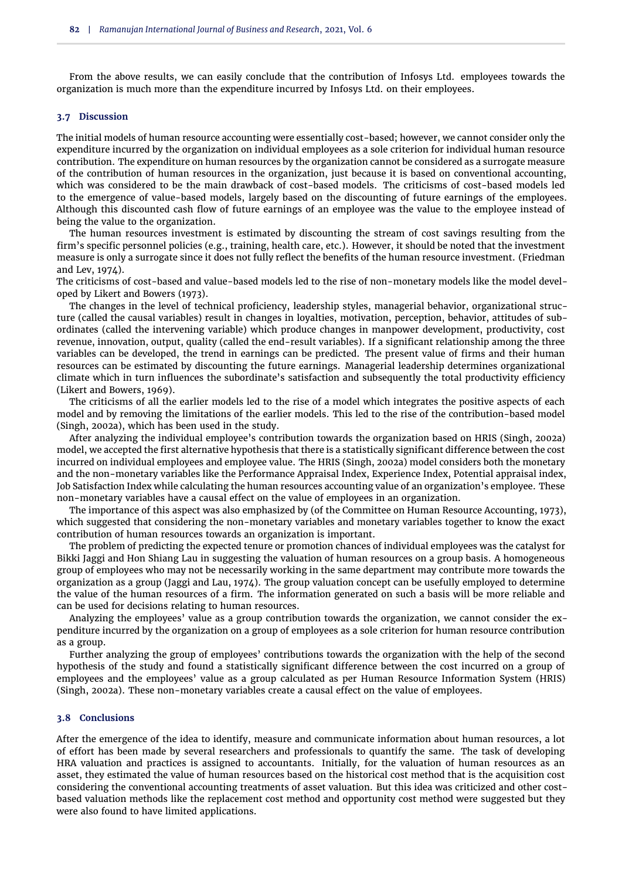From the above results, we can easily conclude that the contribution of Infosys Ltd. employees towards the organization is much more than the expenditure incurred by Infosys Ltd. on their employees.

## **3.7 Discussion**

The initial models of human resource accounting were essentially cost-based; however, we cannot consider only the expenditure incurred by the organization on individual employees as a sole criterion for individual human resource contribution. The expenditure on human resources by the organization cannot be considered as a surrogate measure of the contribution of human resources in the organization, just because it is based on conventional accounting, which was considered to be the main drawback of cost-based models. The criticisms of cost-based models led to the emergence of value-based models, largely based on the discounting of future earnings of the employees. Although this discounted cash flow of future earnings of an employee was the value to the employee instead of being the value to the organization.

The human resources investment is estimated by discounting the stream of cost savings resulting from the firm's specific personnel policies (e.g., training, health care, etc.). However, it should be noted that the investment measure is only a surrogate since it does not fully reflect the benefits of the human resource investment. [\(Friedman](#page-11-5) [and Lev,](#page-11-5) [1974\)](#page-11-5).

The criticisms of cost-based and value-based models led to the rise of non-monetary models like the model developed by [Likert and Bowers](#page-12-7) [\(1973\)](#page-12-7).

The changes in the level of technical proficiency, leadership styles, managerial behavior, organizational structure (called the causal variables) result in changes in loyalties, motivation, perception, behavior, attitudes of subordinates (called the intervening variable) which produce changes in manpower development, productivity, cost revenue, innovation, output, quality (called the end-result variables). If a significant relationship among the three variables can be developed, the trend in earnings can be predicted. The present value of firms and their human resources can be estimated by discounting the future earnings. Managerial leadership determines organizational climate which in turn influences the subordinate's satisfaction and subsequently the total productivity efficiency [\(Likert and Bowers,](#page-12-3) [1969\)](#page-12-3).

The criticisms of all the earlier models led to the rise of a model which integrates the positive aspects of each model and by removing the limitations of the earlier models. This led to the rise of the contribution-based model [\(Singh,](#page-12-4) [2002a\)](#page-12-4), which has been used in the study.

After analyzing the individual employee's contribution towards the organization based on HRIS [\(Singh,](#page-12-4) [2002a\)](#page-12-4) model, we accepted the first alternative hypothesis that there is a statistically significant difference between the cost incurred on individual employees and employee value. The HRIS [\(Singh,](#page-12-4) [2002a\)](#page-12-4) model considers both the monetary and the non-monetary variables like the Performance Appraisal Index, Experience Index, Potential appraisal index, Job Satisfaction Index while calculating the human resources accounting value of an organization's employee. These non-monetary variables have a causal effect on the value of employees in an organization.

The importance of this aspect was also emphasized by [\(of the Committee on Human Resource Accounting,](#page-11-7) [1973\)](#page-11-7), which suggested that considering the non-monetary variables and monetary variables together to know the exact contribution of human resources towards an organization is important.

The problem of predicting the expected tenure or promotion chances of individual employees was the catalyst for Bikki Jaggi and Hon Shiang Lau in suggesting the valuation of human resources on a group basis. A homogeneous group of employees who may not be necessarily working in the same department may contribute more towards the organization as a group [\(Jaggi and Lau,](#page-11-4) [1974\)](#page-11-4). The group valuation concept can be usefully employed to determine the value of the human resources of a firm. The information generated on such a basis will be more reliable and can be used for decisions relating to human resources.

Analyzing the employees' value as a group contribution towards the organization, we cannot consider the expenditure incurred by the organization on a group of employees as a sole criterion for human resource contribution as a group.

Further analyzing the group of employees' contributions towards the organization with the help of the second hypothesis of the study and found a statistically significant difference between the cost incurred on a group of employees and the employees' value as a group calculated as per Human Resource Information System (HRIS) [\(Singh,](#page-12-4) [2002a\)](#page-12-4). These non-monetary variables create a causal effect on the value of employees.

#### **3.8 Conclusions**

After the emergence of the idea to identify, measure and communicate information about human resources, a lot of effort has been made by several researchers and professionals to quantify the same. The task of developing HRA valuation and practices is assigned to accountants. Initially, for the valuation of human resources as an asset, they estimated the value of human resources based on the historical cost method that is the acquisition cost considering the conventional accounting treatments of asset valuation. But this idea was criticized and other costbased valuation methods like the replacement cost method and opportunity cost method were suggested but they were also found to have limited applications.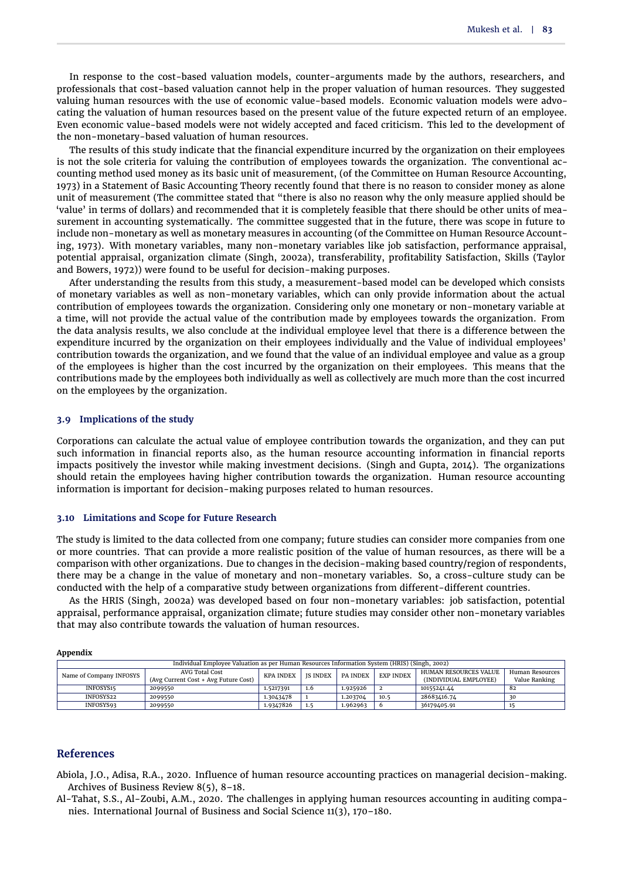In response to the cost-based valuation models, counter-arguments made by the authors, researchers, and professionals that cost-based valuation cannot help in the proper valuation of human resources. They suggested valuing human resources with the use of economic value-based models. Economic valuation models were advocating the valuation of human resources based on the present value of the future expected return of an employee. Even economic value-based models were not widely accepted and faced criticism. This led to the development of the non-monetary-based valuation of human resources.

The results of this study indicate that the financial expenditure incurred by the organization on their employees is not the sole criteria for valuing the contribution of employees towards the organization. The conventional accounting method used money as its basic unit of measurement, [\(of the Committee on Human Resource Accounting,](#page-11-7) [1973\)](#page-11-7) in a Statement of Basic Accounting Theory recently found that there is no reason to consider money as alone unit of measurement (The committee stated that "there is also no reason why the only measure applied should be 'value' in terms of dollars) and recommended that it is completely feasible that there should be other units of measurement in accounting systematically. The committee suggested that in the future, there was scope in future to include non-monetary as well as monetary measures in accounting [\(of the Committee on Human Resource Account](#page-11-7)[ing,](#page-11-7) [1973\)](#page-11-7). With monetary variables, many non-monetary variables like job satisfaction, performance appraisal, potential appraisal, organization climate [\(Singh,](#page-12-4) [2002a\)](#page-12-4), transferability, profitability Satisfaction, Skills [\(Taylor](#page-13-3) [and Bowers,](#page-13-3) [1972\)](#page-13-3)) were found to be useful for decision-making purposes.

After understanding the results from this study, a measurement-based model can be developed which consists of monetary variables as well as non-monetary variables, which can only provide information about the actual contribution of employees towards the organization. Considering only one monetary or non-monetary variable at a time, will not provide the actual value of the contribution made by employees towards the organization. From the data analysis results, we also conclude at the individual employee level that there is a difference between the expenditure incurred by the organization on their employees individually and the Value of individual employees' contribution towards the organization, and we found that the value of an individual employee and value as a group of the employees is higher than the cost incurred by the organization on their employees. This means that the contributions made by the employees both individually as well as collectively are much more than the cost incurred on the employees by the organization.

### **3.9 Implications of the study**

Corporations can calculate the actual value of employee contribution towards the organization, and they can put such information in financial reports also, as the human resource accounting information in financial reports impacts positively the investor while making investment decisions. [\(Singh and Gupta,](#page-12-5) [2014\)](#page-12-5). The organizations should retain the employees having higher contribution towards the organization. Human resource accounting information is important for decision-making purposes related to human resources.

#### **3.10 Limitations and Scope for Future Research**

The study is limited to the data collected from one company; future studies can consider more companies from one or more countries. That can provide a more realistic position of the value of human resources, as there will be a comparison with other organizations. Due to changes in the decision-making based country/region of respondents, there may be a change in the value of monetary and non-monetary variables. So, a cross-culture study can be conducted with the help of a comparative study between organizations from different-different countries.

As the HRIS [\(Singh,](#page-12-4) [2002a\)](#page-12-4) was developed based on four non-monetary variables: job satisfaction, potential appraisal, performance appraisal, organization climate; future studies may consider other non-monetary variables that may also contribute towards the valuation of human resources.

| ---                                                                                          |                                      |                  |                 |          |                  |                       |                 |  |  |  |
|----------------------------------------------------------------------------------------------|--------------------------------------|------------------|-----------------|----------|------------------|-----------------------|-----------------|--|--|--|
| Individual Employee Valuation as per Human Resources Information System (HRIS) (Singh, 2002) |                                      |                  |                 |          |                  |                       |                 |  |  |  |
| Name of Company INFOSYS                                                                      | AVG Total Cost                       | <b>KPA INDEX</b> | <b>IS INDEX</b> | PA INDEX | <b>EXP INDEX</b> | HUMAN RESOURCES VALUE | Human Resources |  |  |  |
|                                                                                              | (Avg Current Cost + Avg Future Cost) |                  |                 |          |                  | (INDIVIDUAL EMPLOYEE) | Value Ranking   |  |  |  |
| INFOSYS15                                                                                    | 2099550                              | 1.5217391        | 1.6             | 1.925926 |                  | 10155241.44           | 82              |  |  |  |
| INFOSYS22                                                                                    | 2099550                              | 1.3043478        |                 | 1.203704 | 10.5             | 28683416.74           | 30              |  |  |  |
| INFOSYS93                                                                                    | 2099550                              | 1.9347826        | 1.5             | 1.962963 | $\circ$          | 36179405.91           |                 |  |  |  |

# **References**

**Appendix**

<span id="page-10-0"></span>Abiola, J.O., Adisa, R.A., 2020. Influence of human resource accounting practices on managerial decision-making. Archives of Business Review 8(5), 8–18.

<span id="page-10-1"></span>Al-Tahat, S.S., Al-Zoubi, A.M., 2020. The challenges in applying human resources accounting in auditing companies. International Journal of Business and Social Science 11(3), 170–180.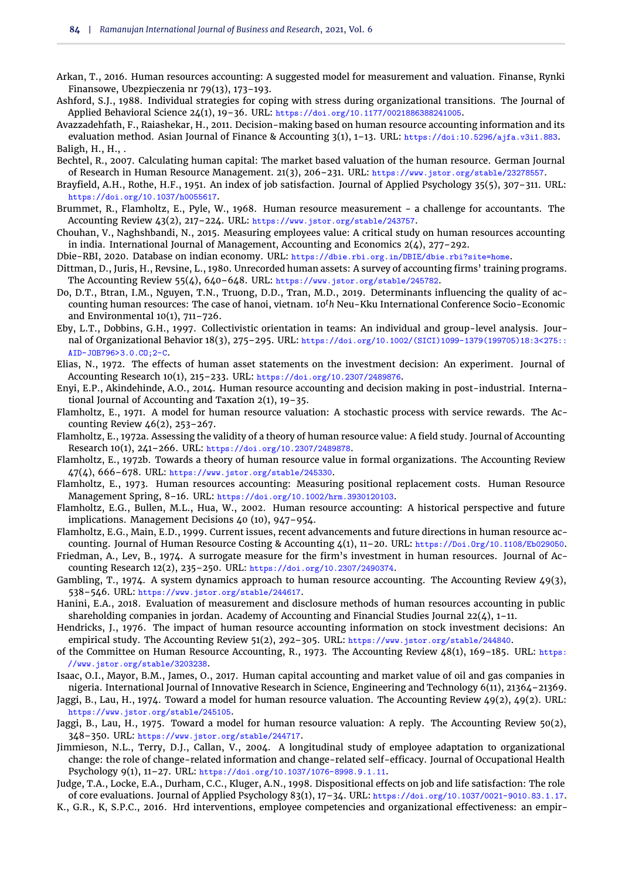- <span id="page-11-20"></span>Arkan, T., 2016. Human resources accounting: A suggested model for measurement and valuation. Finanse, Rynki Finansowe, Ubezpieczenia nr 79(13), 173–193.
- <span id="page-11-28"></span>Ashford, S.J., 1988. Individual strategies for coping with stress during organizational transitions. The Journal of Applied Behavioral Science 24(1), 19–36. URL: https://doi.org/10.1177/0021886388241005.
- <span id="page-11-11"></span>Avazzadehfath, F., Raiashekar, H., 2011. Decision-making based on human resource accounting information and its evaluation method. Asian Journal of Finance & Accounting 3(1), 1–13. URL: https://doi:10.5296/ajfa.v3i1.883. Baligh, H., H.,.
- <span id="page-11-22"></span><span id="page-11-21"></span>Bechtel, R., 2007. Calculating human capital: The market based valuation of the human resource. German Journal of Research in Human Resource Management. 21(3), 206–231. URL: https://www.jstor.org/stable/23278557.
- <span id="page-11-24"></span>Brayfield, A.H., Rothe, H.F., 1951. An index of job satisfaction. Journal of Applied Psychology 35(5), 307–311. URL: https://doi.org/10.1037/h0055617.
- <span id="page-11-1"></span>Brummet, R., Flamholtz, E., Pyle, W., 1968. Human resource measurement - a challenge for accountants. The Accounting Review 43(2), 217-224. URL: https://www.jstor.org/stable/243757.
- <span id="page-11-9"></span>Chouhan, V., Naghshbandi, N., 2015. Measuring employees value: A critical study on human resources accounting in india. International Journal of Management, Accounting and Economics  $2(4)$ , 277-292.
- <span id="page-11-30"></span>Dbie-RBI, 2020. Database on indian economy. URL: https://dbie.rbi.org.in/DBIE/dbie.rbi?site=home.
- <span id="page-11-19"></span>Dittman, D., Juris, H., Revsine, L., 1980. Unrecorded human assets: A survey of accounting firms' training programs. The Accounting Review 55(4), 640–648. URL: https://www.jstor.org/stable/245782.
- <span id="page-11-23"></span>Do, D.T., Btran, I.M., Nguyen, T.N., Truong, D.D., Tran, M.D., 2019. Determinants influencing the quality of accounting human resources: The case of hanoi, vietnam. 10*th* Neu-Kku International Conference Socio-Economic and Environmental 10(1), 711–726.
- <span id="page-11-27"></span>Eby, L.T., Dobbins, G.H., 1997. Collectivistic orientation in teams: An individual and group-level analysis. Journal of Organizational Behavior 18(3), 275–295. URL: https://doi.org/10.1002/(SICI)1099-1379(199705)18:3<275:: AID-JOB796>3.0.CO;2-C.
- <span id="page-11-13"></span>Elias, N., 1972. The effects of human asset statements on the investment decision: An experiment. Journal of Accounting Research 10(1), 215–233. URL: https://doi.org/10.2307/2489876.
- <span id="page-11-12"></span>Enyi, E.P., Akindehinde, A.O., 2014. Human resource accounting and decision making in post-industrial. International Journal of Accounting and Taxation 2(1), 19–35.
- <span id="page-11-3"></span>Flamholtz, E., 1971. A model for human resource valuation: A stochastic process with service rewards. The Accounting Review 46(2), 253–267.
- <span id="page-11-16"></span>Flamholtz, E., 1972a. Assessing the validity of a theory of human resource value: A field study. Journal of Accounting Research 10(1), 241–266. URL: https://doi.org/10.2307/2489878.
- <span id="page-11-6"></span>Flamholtz, E., 1972b. Towards a theory of human resource value in formal organizations. The Accounting Review 47(4), 666–678. URL: https://www.jstor.org/stable/245330.
- <span id="page-11-2"></span>Flamholtz, E., 1973. Human resources accounting: Measuring positional replacement costs. Human Resource Management Spring, 8–16. URL: https://doi.org/10.1002/hrm.3930120103.
- <span id="page-11-0"></span>Flamholtz, E.G., Bullen, M.L., Hua, W., 2002. Human resource accounting: A historical perspective and future implications. Management Decisions 40 (10), 947–954.
- <span id="page-11-15"></span>Flamholtz, E.G., Main, E.D., 1999. Current issues, recent advancements and future directions in human resource accounting. Journal of Human Resource Costing & Accounting 4(1), 11-20. URL: https://Doi.Org/10.1108/Eb029050.
- <span id="page-11-5"></span>Friedman, A., Lev, B., 1974. A surrogate measure for the firm's investment in human resources. Journal of Accounting Research 12(2), 235–250. URL: https://doi.org/10.2307/2490374.
- <span id="page-11-17"></span>Gambling, T., 1974. A system dynamics approach to human resource accounting. The Accounting Review 49(3), 538–546. URL: https://www.jstor.org/stable/244617.
- <span id="page-11-10"></span>Hanini, E.A., 2018. Evaluation of measurement and disclosure methods of human resources accounting in public shareholding companies in jordan. Academy of Accounting and Financial Studies Journal  $22(4)$ , 1–11.
- <span id="page-11-14"></span>Hendricks, J., 1976. The impact of human resource accounting information on stock investment decisions: An empirical study. The Accounting Review 51(2), 292–305. URL: https://www.jstor.org/stable/244840.
- <span id="page-11-7"></span>of the Committee on Human Resource Accounting, R., 1973. The Accounting Review 48(1), 169–185. URL: https: //www.jstor.org/stable/3203238.
- <span id="page-11-8"></span>Isaac, O.I., Mayor, B.M., James, O., 2017. Human capital accounting and market value of oil and gas companies in nigeria. International Journal of Innovative Research in Science, Engineering and Technology 6(11), 21364–21369.
- <span id="page-11-4"></span>Jaggi, B., Lau, H., 1974. Toward a model for human resource valuation. The Accounting Review 49(2), 49(2). URL: https://www.jstor.org/stable/245105.
- <span id="page-11-18"></span>Jaggi, B., Lau, H., 1975. Toward a model for human resource valuation: A reply. The Accounting Review 50(2), 348–350. URL: https://www.jstor.org/stable/244717.
- <span id="page-11-29"></span>Jimmieson, N.L., Terry, D.J., Callan, V., 2004. A longitudinal study of employee adaptation to organizational change: the role of change-related information and change-related self-efficacy. Journal of Occupational Health Psychology 9(1), 11–27. URL: https://doi.org/10.1037/1076-8998.9.1.11.
- <span id="page-11-25"></span>Judge, T.A., Locke, E.A., Durham, C.C., Kluger, A.N., 1998. Dispositional effects on job and life satisfaction: The role of core evaluations. Journal of Applied Psychology 83(1), 17–34. URL: https://doi.org/10.1037/0021-9010.83.1.17.
- <span id="page-11-26"></span>K., G.R., K, S.P.C., 2016. Hrd interventions, employee competencies and organizational effectiveness: an empir-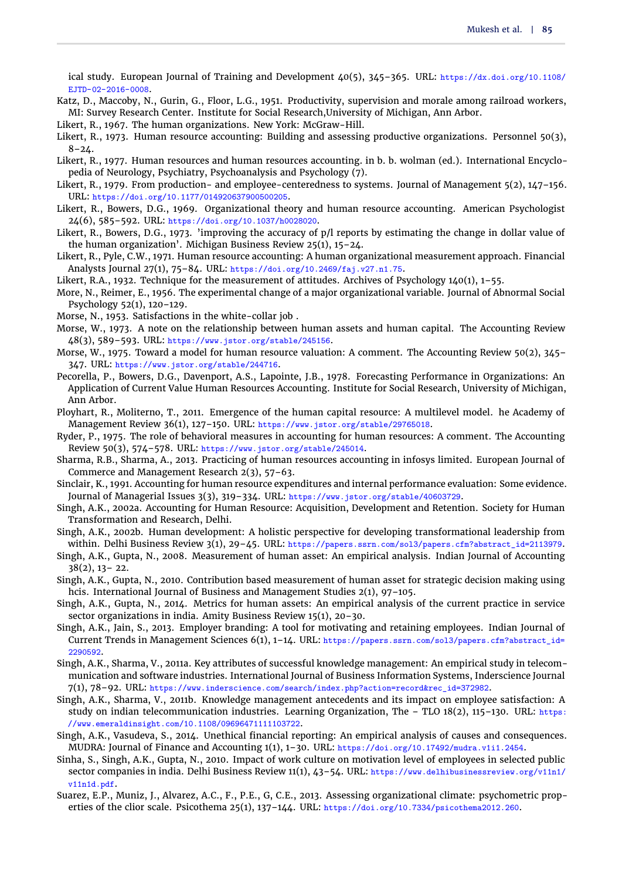ical study. European Journal of Training and Development 40(5), 345–365. URL: https://dx.doi.org/10.1108/ EJTD-02-2016-0008.

- <span id="page-12-21"></span>Katz, D., Maccoby, N., Gurin, G., Floor, L.G., 1951. Productivity, supervision and morale among railroad workers, MI: Survey Research Center. Institute for Social Research,University of Michigan, Ann Arbor.
- <span id="page-12-0"></span>Likert, R., 1967. The human organizations. New York: McGraw-Hill.
- <span id="page-12-1"></span>Likert, R., 1973. Human resource accounting: Building and assessing productive organizations. Personnel 50(3),  $8 - 24.$
- <span id="page-12-11"></span>Likert, R., 1977. Human resources and human resources accounting. in b. b. wolman (ed.). International Encyclopedia of Neurology, Psychiatry, Psychoanalysis and Psychology (7).
- <span id="page-12-24"></span>Likert, R., 1979. From production- and employee-centeredness to systems. Journal of Management 5(2), 147-156. URL: https://doi.org/10.1177/014920637900500205.
- <span id="page-12-3"></span>Likert, R., Bowers, D.G., 1969. Organizational theory and human resource accounting. American Psychologist 24(6), 585–592. URL: https://doi.org/10.1037/h0028020.
- <span id="page-12-7"></span>Likert, R., Bowers, D.G., 1973. 'improving the accuracy of p/l reports by estimating the change in dollar value of the human organization'. Michigan Business Review 25(1), 15–24.
- <span id="page-12-9"></span>Likert, R., Pyle, C.W., 1971. Human resource accounting: A human organizational measurement approach. Financial Analysts Journal 27(1), 75–84. URL: https://doi.org/10.2469/faj.v27.n1.75.
- <span id="page-12-23"></span>Likert, R.A., 1932. Technique for the measurement of attitudes. Archives of Psychology 140(1), 1–55.
- <span id="page-12-15"></span>More, N., Reimer, E., 1956. The experimental change of a major organizational variable. Journal of Abnormal Social Psychology 52(1), 120–129.
- <span id="page-12-22"></span>Morse, N., 1953. Satisfactions in the white-collar job .
- <span id="page-12-2"></span>Morse, W., 1973. A note on the relationship between human assets and human capital. The Accounting Review 48(3), 589–593. URL: https://www.jstor.org/stable/245156.
- <span id="page-12-10"></span>Morse, W., 1975. Toward a model for human resource valuation: A comment. The Accounting Review 50(2), 345– 347. URL: https://www.jstor.org/stable/244716.
- <span id="page-12-16"></span>Pecorella, P., Bowers, D.G., Davenport, A.S., Lapointe, J.B., 1978. Forecasting Performance in Organizations: An Application of Current Value Human Resources Accounting. Institute for Social Research, University of Michigan, Ann Arbor.
- <span id="page-12-12"></span>Ployhart, R., Moliterno, T., 2011. Emergence of the human capital resource: A multilevel model. he Academy of Management Review 36(1), 127–150. URL: https://www.jstor.org/stable/29765018.
- <span id="page-12-17"></span>Ryder, P., 1975. The role of behavioral measures in accounting for human resources: A comment. The Accounting Review 50(3), 574–578. URL: https://www.jstor.org/stable/245014.
- <span id="page-12-6"></span>Sharma, R.B., Sharma, A., 2013. Practicing of human resources accounting in infosys limited. European Journal of Commerce and Management Research 2(3), 57–63.
- <span id="page-12-25"></span>Sinclair, K., 1991. Accounting for human resource expenditures and internal performance evaluation: Some evidence. Journal of Managerial Issues 3(3), 319–334. URL: https://www.jstor.org/stable/40603729.
- <span id="page-12-4"></span>Singh, A.K., 2002a. Accounting for Human Resource: Acquisition, Development and Retention. Society for Human Transformation and Research, Delhi.
- <span id="page-12-26"></span>Singh, A.K., 2002b. Human development: A holistic perspective for developing transformational leadership from within. Delhi Business Review 3(1), 29–45. URL: https://papers.ssrn.com/sol3/papers.cfm?abstract\_id=2113979.
- <span id="page-12-13"></span>Singh, A.K., Gupta, N., 2008. Measurement of human asset: An empirical analysis. Indian Journal of Accounting 38(2), 13– 22.
- <span id="page-12-14"></span>Singh, A.K., Gupta, N., 2010. Contribution based measurement of human asset for strategic decision making using hcis. International Journal of Business and Management Studies 2(1), 97-105.
- <span id="page-12-5"></span>Singh, A.K., Gupta, N., 2014. Metrics for human assets: An empirical analysis of the current practice in service sector organizations in india. Amity Business Review 15(1), 20–30.
- <span id="page-12-27"></span>Singh, A.K., Jain, S., 2013. Employer branding: A tool for motivating and retaining employees. Indian Journal of Current Trends in Management Sciences 6(1), 1–14. URL: https://papers.ssrn.com/sol3/papers.cfm?abstract\_id= 2290592.
- <span id="page-12-19"></span>Singh, A.K., Sharma, V., 2011a. Key attributes of successful knowledge management: An empirical study in telecommunication and software industries. International Journal of Business Information Systems, Inderscience Journal 7(1), 78–92. URL: https://www.inderscience.com/search/index.php?action=record&rec\_id=372982.
- <span id="page-12-20"></span>Singh, A.K., Sharma, V., 2011b. Knowledge management antecedents and its impact on employee satisfaction: A study on indian telecommunication industries. Learning Organization, The  $-$  TLO 18(2), 115–130. URL: https: //www.emeraldinsight.com/10.1108/09696471111103722.
- <span id="page-12-8"></span>Singh, A.K., Vasudeva, S., 2014. Unethical financial reporting: An empirical analysis of causes and consequences. MUDRA: Journal of Finance and Accounting 1(1), 1–30. URL: https://doi.org/10.17492/mudra.v1i1.2454.
- <span id="page-12-18"></span>Sinha, S., Singh, A.K., Gupta, N., 2010. Impact of work culture on motivation level of employees in selected public sector companies in india. Delhi Business Review 11(1), 43–54. URL: https://www.delhibusinessreview.org/v11n1/ v11n1d.pdf.
- <span id="page-12-28"></span>Suarez, E.P., Muniz, J., Alvarez, A.C., F., P.E., G, C.E., 2013. Assessing organizational climate: psychometric properties of the clior scale. Psicothema 25(1), 137–144. URL: https://doi.org/10.7334/psicothema2012.260.